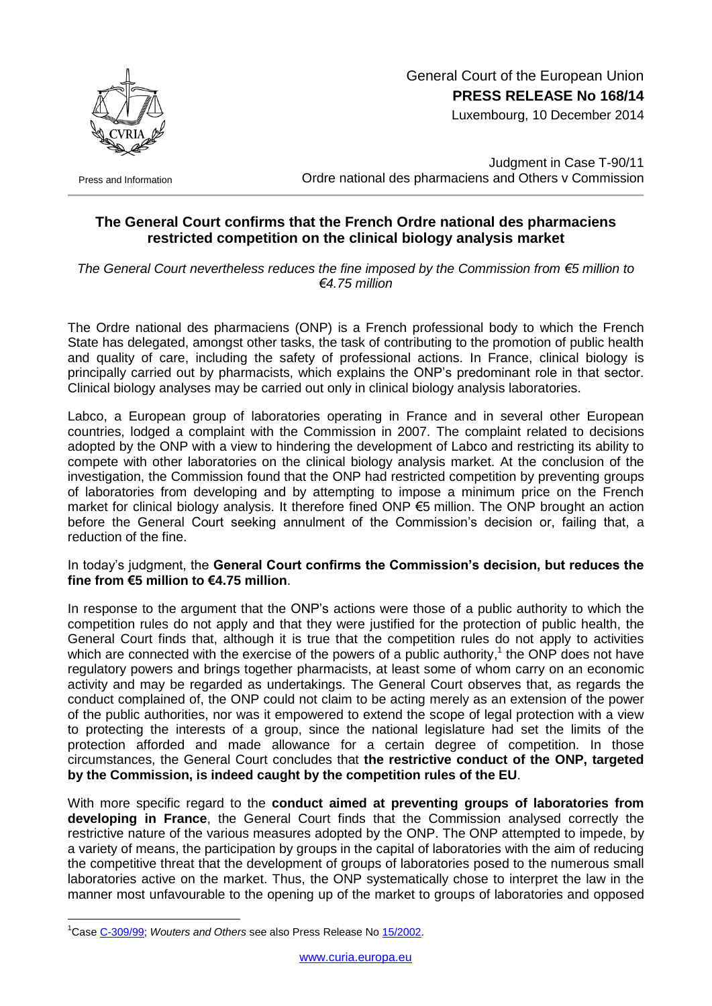

 General Court of the European Union **PRESS RELEASE No 168/14**

Luxembourg, 10 December 2014

Press and Information

Judgment in Case T-90/11 Ordre national des pharmaciens and Others v Commission

## **The General Court confirms that the French Ordre national des pharmaciens restricted competition on the clinical biology analysis market**

*The General Court nevertheless reduces the fine imposed by the Commission from €5 million to €4.75 million*

The Ordre national des pharmaciens (ONP) is a French professional body to which the French State has delegated, amongst other tasks, the task of contributing to the promotion of public health and quality of care, including the safety of professional actions. In France, clinical biology is principally carried out by pharmacists, which explains the ONP's predominant role in that sector. Clinical biology analyses may be carried out only in clinical biology analysis laboratories.

Labco, a European group of laboratories operating in France and in several other European countries, lodged a complaint with the Commission in 2007. The complaint related to decisions adopted by the ONP with a view to hindering the development of Labco and restricting its ability to compete with other laboratories on the clinical biology analysis market. At the conclusion of the investigation, the Commission found that the ONP had restricted competition by preventing groups of laboratories from developing and by attempting to impose a minimum price on the French market for clinical biology analysis. It therefore fined ONP €5 million. The ONP brought an action before the General Court seeking annulment of the Commission's decision or, failing that, a reduction of the fine.

## In today's judgment, the **General Court confirms the Commission's decision, but reduces the fine from €5 million to €4.75 million**.

In response to the argument that the ONP's actions were those of a public authority to which the competition rules do not apply and that they were justified for the protection of public health, the General Court finds that, although it is true that the competition rules do not apply to activities which are connected with the exercise of the powers of a public authority,<sup>1</sup> the ONP does not have regulatory powers and brings together pharmacists, at least some of whom carry on an economic activity and may be regarded as undertakings. The General Court observes that, as regards the conduct complained of, the ONP could not claim to be acting merely as an extension of the power of the public authorities, nor was it empowered to extend the scope of legal protection with a view to protecting the interests of a group, since the national legislature had set the limits of the protection afforded and made allowance for a certain degree of competition. In those circumstances, the General Court concludes that **the restrictive conduct of the ONP, targeted by the Commission, is indeed caught by the competition rules of the EU**.

With more specific regard to the **conduct aimed at preventing groups of laboratories from developing in France**, the General Court finds that the Commission analysed correctly the restrictive nature of the various measures adopted by the ONP. The ONP attempted to impede, by a variety of means, the participation by groups in the capital of laboratories with the aim of reducing the competitive threat that the development of groups of laboratories posed to the numerous small laboratories active on the market. Thus, the ONP systematically chose to interpret the law in the manner most unfavourable to the opening up of the market to groups of laboratories and opposed

1

<sup>&</sup>lt;sup>1</sup>Cas[e C-309/99;](http://curia.europa.eu/juris/liste.jsf?&num=C-309/99) *Wouters and Others* see also Press Release No [15/2002.](http://curia.europa.eu/en/actu/communiques/cp02/aff/cp0215en.htm)